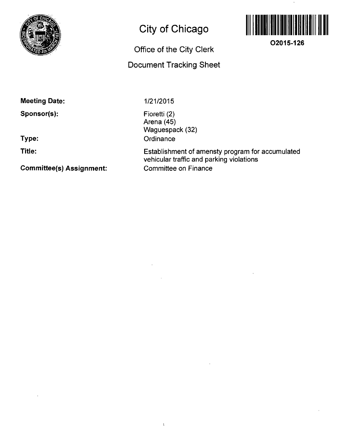

## **City of Chicago**

## **Office of the City Clerk**

## **Document Tracking Sheet**



 $\bar{\mathbf{v}}$ 

**O2015-126** 

**Meeting Date:** 

**Sponsor(s):** 

**Type:** 

**Title:** 

**Committee(s) Assignment:** 

1/21/2015

Fioretti (2) Arena (45) Waguespack (32) **Ordinance** 

 $\bar{V}$ 

Establishment of amensty program for accumulated vehicular traffic and parking violations Committee on Finance